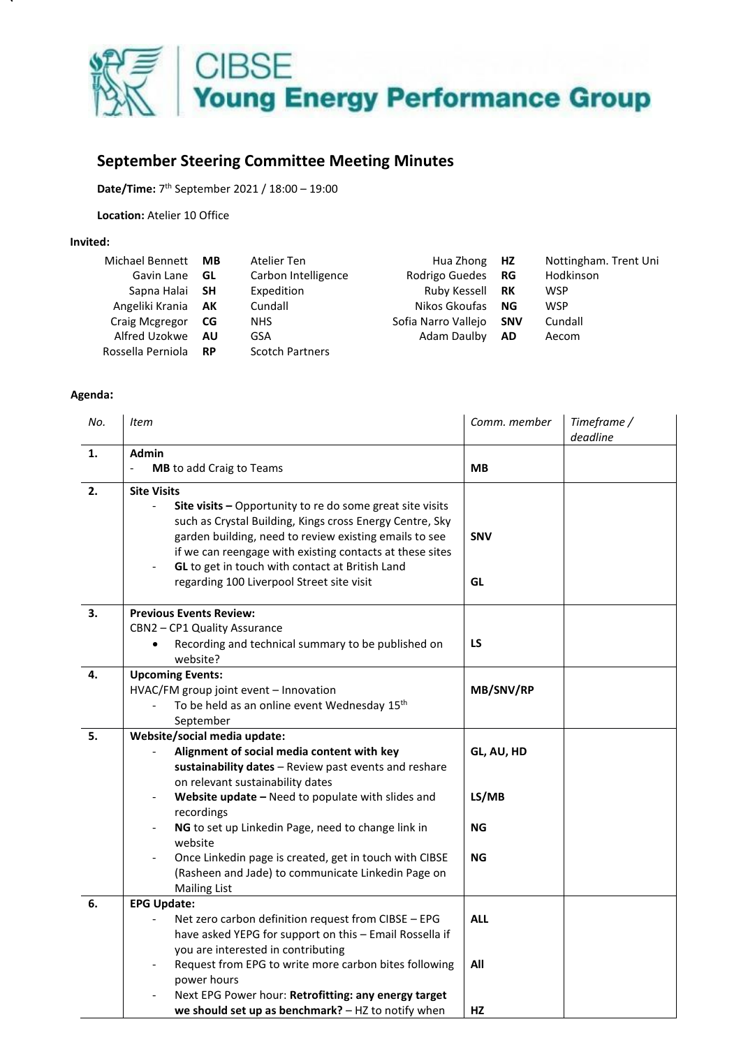

## **September Steering Committee Meeting Minutes**

**Date/Time:** 7 th September 2021 / 18:00 – 19:00

**Location:** Atelier 10 Office

## **Invited:**

| Michael Bennett   | <b>MB</b> | Atelier Ten            | Hua Zhong HZ        |            | Nottingham. Trent Uni |
|-------------------|-----------|------------------------|---------------------|------------|-----------------------|
| Gavin Lane        | GL        | Carbon Intelligence    | Rodrigo Guedes      | RG         | Hodkinson             |
| Sapna Halai SH    |           | Expedition             | Ruby Kessell        | RK         | <b>WSP</b>            |
| Angeliki Krania   | AK        | Cundall                | Nikos Gkoufas       | ΝG         | <b>WSP</b>            |
| Craig Mcgregor    | - CG      | NHS.                   | Sofia Narro Vallejo | <b>SNV</b> | Cundall               |
| Alfred Uzokwe     | - AU      | GSA                    | Adam Daulby         | <b>AD</b>  | Aecom                 |
| Rossella Perniola | <b>RP</b> | <b>Scotch Partners</b> |                     |            |                       |

## **Agenda:**

| No. | <b>Item</b>                                                                                                                                                                                                                                                                    | Comm. member     | Timeframe /<br>deadline |
|-----|--------------------------------------------------------------------------------------------------------------------------------------------------------------------------------------------------------------------------------------------------------------------------------|------------------|-------------------------|
| 1.  | <b>Admin</b>                                                                                                                                                                                                                                                                   |                  |                         |
|     | $\overline{a}$<br><b>MB</b> to add Craig to Teams                                                                                                                                                                                                                              | <b>MB</b>        |                         |
| 2.  | <b>Site Visits</b><br>Site visits - Opportunity to re do some great site visits                                                                                                                                                                                                |                  |                         |
|     | such as Crystal Building, Kings cross Energy Centre, Sky<br>garden building, need to review existing emails to see<br>if we can reengage with existing contacts at these sites<br>GL to get in touch with contact at British Land<br>regarding 100 Liverpool Street site visit | <b>SNV</b><br>GL |                         |
| 3.  | <b>Previous Events Review:</b>                                                                                                                                                                                                                                                 |                  |                         |
|     | CBN2 - CP1 Quality Assurance<br>Recording and technical summary to be published on<br>website?                                                                                                                                                                                 | <b>LS</b>        |                         |
| 4.  | <b>Upcoming Events:</b>                                                                                                                                                                                                                                                        |                  |                         |
|     | HVAC/FM group joint event - Innovation                                                                                                                                                                                                                                         | MB/SNV/RP        |                         |
|     | To be held as an online event Wednesday 15th                                                                                                                                                                                                                                   |                  |                         |
|     | September                                                                                                                                                                                                                                                                      |                  |                         |
| 5.  | Website/social media update:                                                                                                                                                                                                                                                   |                  |                         |
|     | Alignment of social media content with key                                                                                                                                                                                                                                     | GL, AU, HD       |                         |
|     | sustainability dates - Review past events and reshare<br>on relevant sustainability dates                                                                                                                                                                                      |                  |                         |
|     | Website update - Need to populate with slides and<br>$\overline{\phantom{a}}$                                                                                                                                                                                                  | LS/MB            |                         |
|     | recordings                                                                                                                                                                                                                                                                     |                  |                         |
|     | NG to set up Linkedin Page, need to change link in<br>$\overline{\phantom{a}}$                                                                                                                                                                                                 | ΝG               |                         |
|     | website                                                                                                                                                                                                                                                                        |                  |                         |
|     | Once Linkedin page is created, get in touch with CIBSE                                                                                                                                                                                                                         | <b>NG</b>        |                         |
|     | (Rasheen and Jade) to communicate Linkedin Page on                                                                                                                                                                                                                             |                  |                         |
|     | <b>Mailing List</b>                                                                                                                                                                                                                                                            |                  |                         |
| 6.  | <b>EPG Update:</b>                                                                                                                                                                                                                                                             |                  |                         |
|     | Net zero carbon definition request from CIBSE - EPG                                                                                                                                                                                                                            | <b>ALL</b>       |                         |
|     | have asked YEPG for support on this - Email Rossella if                                                                                                                                                                                                                        |                  |                         |
|     | you are interested in contributing<br>Request from EPG to write more carbon bites following                                                                                                                                                                                    | All              |                         |
|     | power hours                                                                                                                                                                                                                                                                    |                  |                         |
|     | Next EPG Power hour: Retrofitting: any energy target                                                                                                                                                                                                                           |                  |                         |
|     | we should set up as benchmark? - HZ to notify when                                                                                                                                                                                                                             | HZ               |                         |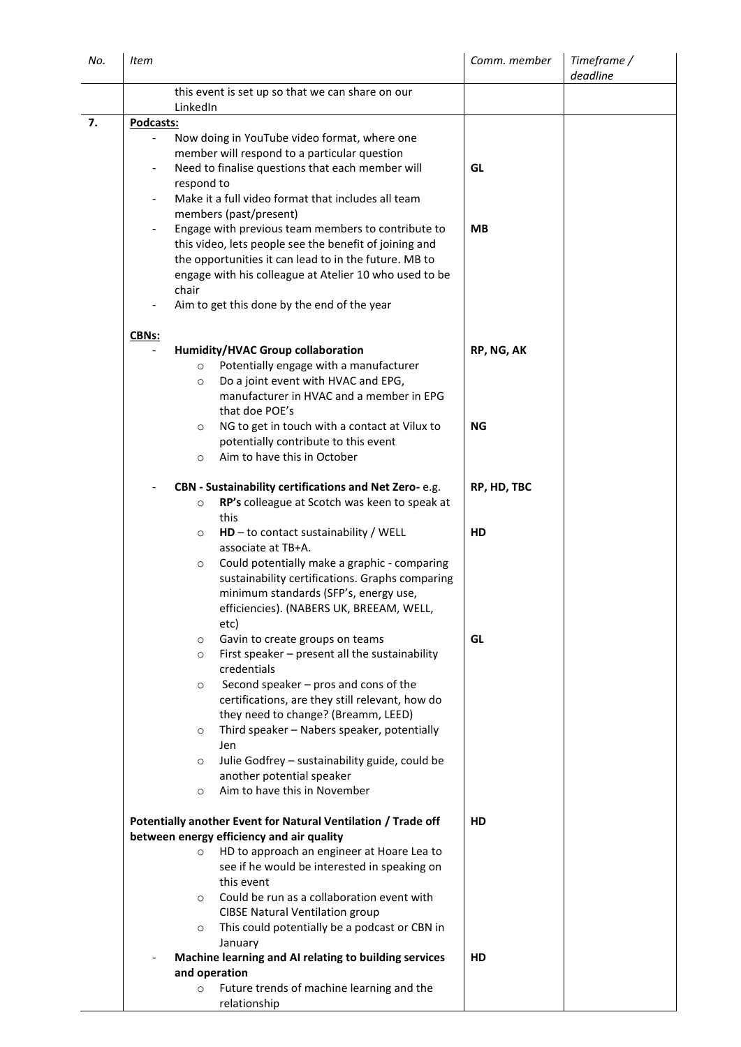| No. | Item      |                                                                                                                 | Comm. member | Timeframe /<br>deadline |
|-----|-----------|-----------------------------------------------------------------------------------------------------------------|--------------|-------------------------|
|     | LinkedIn  | this event is set up so that we can share on our                                                                |              |                         |
| 7.  | Podcasts: |                                                                                                                 |              |                         |
|     |           | Now doing in YouTube video format, where one                                                                    |              |                         |
|     |           | member will respond to a particular question                                                                    |              |                         |
|     |           | Need to finalise questions that each member will                                                                | GL           |                         |
|     |           | respond to                                                                                                      |              |                         |
|     |           | Make it a full video format that includes all team                                                              |              |                         |
|     |           | members (past/present)                                                                                          |              |                         |
|     |           | Engage with previous team members to contribute to                                                              | <b>MB</b>    |                         |
|     |           | this video, lets people see the benefit of joining and                                                          |              |                         |
|     |           | the opportunities it can lead to in the future. MB to<br>engage with his colleague at Atelier 10 who used to be |              |                         |
|     | chair     |                                                                                                                 |              |                         |
|     |           | Aim to get this done by the end of the year                                                                     |              |                         |
|     | CBNs:     |                                                                                                                 |              |                         |
|     |           | Humidity/HVAC Group collaboration                                                                               | RP, NG, AK   |                         |
|     |           | Potentially engage with a manufacturer<br>$\circ$                                                               |              |                         |
|     |           | Do a joint event with HVAC and EPG,<br>$\circ$                                                                  |              |                         |
|     |           | manufacturer in HVAC and a member in EPG                                                                        |              |                         |
|     |           | that doe POE's                                                                                                  |              |                         |
|     |           | NG to get in touch with a contact at Vilux to<br>$\circ$                                                        | <b>NG</b>    |                         |
|     |           | potentially contribute to this event                                                                            |              |                         |
|     |           | Aim to have this in October<br>$\circ$                                                                          |              |                         |
|     |           | CBN - Sustainability certifications and Net Zero-e.g.                                                           | RP, HD, TBC  |                         |
|     |           | RP's colleague at Scotch was keen to speak at<br>$\circ$                                                        |              |                         |
|     |           | this                                                                                                            |              |                         |
|     |           | $HD$ – to contact sustainability / WELL<br>$\circ$                                                              | HD           |                         |
|     |           | associate at TB+A.                                                                                              |              |                         |
|     |           | Could potentially make a graphic - comparing<br>$\circ$                                                         |              |                         |
|     |           | sustainability certifications. Graphs comparing                                                                 |              |                         |
|     |           | minimum standards (SFP's, energy use,<br>efficiencies). (NABERS UK, BREEAM, WELL,                               |              |                         |
|     |           | etc)                                                                                                            |              |                         |
|     |           | Gavin to create groups on teams<br>$\circ$                                                                      | GL           |                         |
|     |           | First speaker - present all the sustainability<br>$\circ$                                                       |              |                         |
|     |           | credentials                                                                                                     |              |                         |
|     |           | Second speaker - pros and cons of the<br>$\circ$                                                                |              |                         |
|     |           | certifications, are they still relevant, how do                                                                 |              |                         |
|     |           | they need to change? (Breamm, LEED)                                                                             |              |                         |
|     |           | Third speaker - Nabers speaker, potentially<br>$\circ$                                                          |              |                         |
|     |           | Jen                                                                                                             |              |                         |
|     |           | Julie Godfrey - sustainability guide, could be<br>$\circ$<br>another potential speaker                          |              |                         |
|     |           | Aim to have this in November<br>$\circ$                                                                         |              |                         |
|     |           | Potentially another Event for Natural Ventilation / Trade off                                                   | HD           |                         |
|     |           | between energy efficiency and air quality                                                                       |              |                         |
|     |           | HD to approach an engineer at Hoare Lea to<br>$\circ$                                                           |              |                         |
|     |           | see if he would be interested in speaking on                                                                    |              |                         |
|     |           | this event                                                                                                      |              |                         |
|     |           | Could be run as a collaboration event with<br>$\circ$                                                           |              |                         |
|     |           | <b>CIBSE Natural Ventilation group</b>                                                                          |              |                         |
|     |           | This could potentially be a podcast or CBN in<br>$\circ$                                                        |              |                         |
|     |           | January                                                                                                         |              |                         |
|     |           | Machine learning and AI relating to building services                                                           | HD           |                         |
|     |           | and operation<br>Future trends of machine learning and the<br>$\circ$                                           |              |                         |
|     |           | relationship                                                                                                    |              |                         |